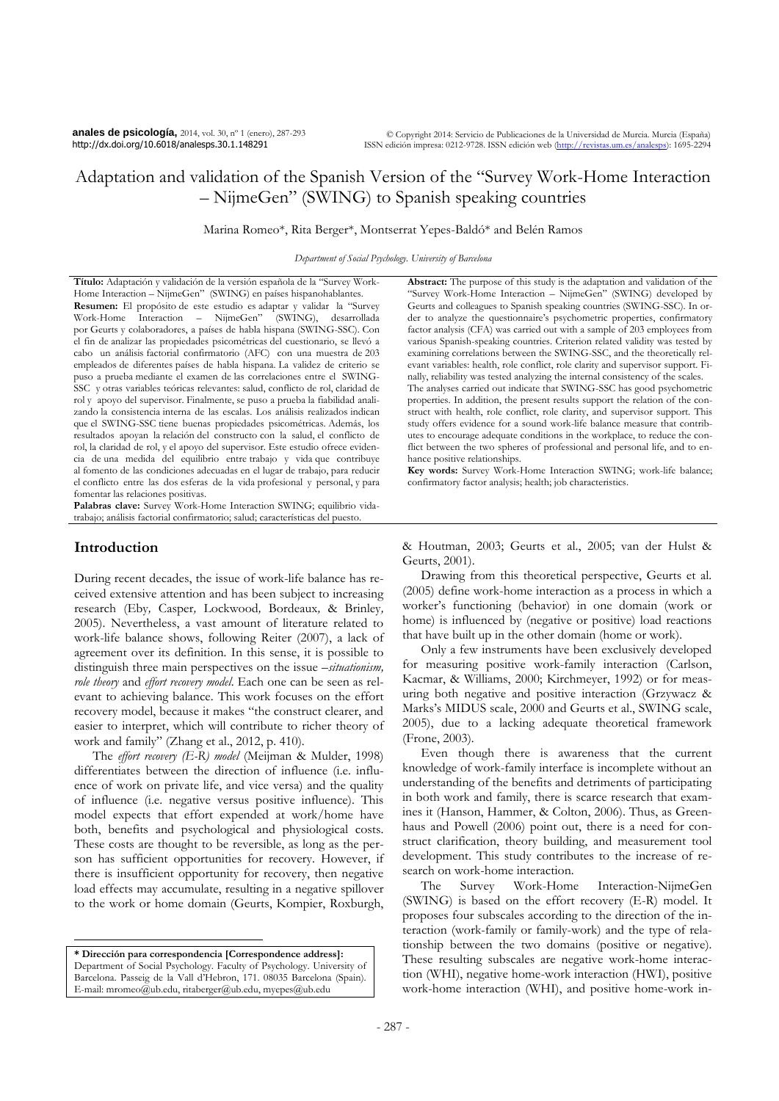**anales de psicología,** 2014, vol. 30, nº 1 (enero), 287-293 http://dx.doi.org/10.6018/analesps.30.1.148291

# Adaptation and validation of the Spanish Version of the "Survey Work-Home Interaction – NijmeGen" (SWING) to Spanish speaking countries

Marina Romeo\*, Rita Berger\*, Montserrat Yepes-Baldó\* and Belén Ramos

*Department of Social Psychology. University of Barcelona*

**Título:** Adaptación y validación de la versión española de la "Survey Work-Home Interaction – NijmeGen" (SWING) en países hispanohablantes. **Resumen:** El propósito de este estudio es adaptar y validar la "Survey Work-Home Interaction – NijmeGen" (SWING), desarrollada por Geurts y colaboradores, a países de habla hispana (SWING-SSC). Con el fin de analizar las propiedades psicométricas del cuestionario, se llevó a cabo un análisis factorial confirmatorio (AFC) con una muestra de 203 empleados de diferentes países de habla hispana. La validez de criterio se puso a prueba mediante el examen de las correlaciones entre el SWING-SSC y otras variables teóricas relevantes: salud, conflicto de rol, claridad de rol y apoyo del supervisor. Finalmente, se puso a prueba la fiabilidad analizando la consistencia interna de las escalas. Los análisis realizados indican que el SWING-SSC tiene buenas propiedades psicométricas. Además, los resultados apoyan la relación del constructo con la salud, el conflicto de rol, la claridad de rol, y el apoyo del supervisor. Este estudio ofrece evidencia de una medida del equilibrio entre trabajo y vida que contribuye al fomento de las condiciones adecuadas en el lugar de trabajo, para reducir el conflicto entre las dos esferas de la vida profesional y personal, y para fomentar las relaciones positivas.

Palabras clave: Survey Work-Home Interaction SWING; equilibrio vidatrabajo; análisis factorial confirmatorio; salud; características del puesto.

# **Introduction**

 $\overline{a}$ 

During recent decades, the issue of work-life balance has received extensive attention and has been subject to increasing research (Eby*,* Casper*,* Lockwood*,* Bordeaux*,* & Brinley*,*  2005). Nevertheless, a vast amount of literature related to work-life balance shows, following Reiter (2007), a lack of agreement over its definition. In this sense, it is possible to distinguish three main perspectives on the issue –*situationism, role theory* and *effort recovery model*. Each one can be seen as relevant to achieving balance. This work focuses on the effort recovery model, because it makes "the construct clearer, and easier to interpret, which will contribute to richer theory of work and family" (Zhang et al., 2012, p. 410).

The *effort recovery (E-R) model* (Meijman & Mulder, 1998) differentiates between the direction of influence (i.e. influence of work on private life, and vice versa) and the quality of influence (i.e. negative versus positive influence). This model expects that effort expended at work/home have both, benefits and psychological and physiological costs. These costs are thought to be reversible, as long as the person has sufficient opportunities for recovery. However, if there is insufficient opportunity for recovery, then negative load effects may accumulate, resulting in a negative spillover to the work or home domain (Geurts, Kompier, Roxburgh,

**\* Dirección para correspondencia [Correspondence address]:**  Department of Social Psychology. Faculty of Psychology. University of Barcelona. Passeig de la Vall d"Hebron, 171. 08035 Barcelona (Spain). E-mail: mromeo@ub.edu, ritaberger@ub.edu, myepes@ub.edu

**Abstract:** The purpose of this study is the adaptation and validation of the "Survey Work-Home Interaction – NijmeGen" (SWING) developed by Geurts and colleagues to Spanish speaking countries (SWING-SSC). In order to analyze the questionnaire's psychometric properties, confirmatory factor analysis (CFA) was carried out with a sample of 203 employees from various Spanish-speaking countries. Criterion related validity was tested by examining correlations between the SWING-SSC, and the theoretically relevant variables: health, role conflict, role clarity and supervisor support. Finally, reliability was tested analyzing the internal consistency of the scales. The analyses carried out indicate that SWING-SSC has good psychometric properties. In addition, the present results support the relation of the construct with health, role conflict, role clarity, and supervisor support. This study offers evidence for a sound work-life balance measure that contrib-

utes to encourage adequate conditions in the workplace, to reduce the conflict between the two spheres of professional and personal life, and to enhance positive relationships. **Key words:** Survey Work-Home Interaction SWING; work-life balance;

confirmatory factor analysis; health; job characteristics.

& Houtman, 2003; Geurts et al., 2005; van der Hulst & Geurts, 2001).

Drawing from this theoretical perspective, Geurts et al. (2005) define work-home interaction as a process in which a worker"s functioning (behavior) in one domain (work or home) is influenced by (negative or positive) load reactions that have built up in the other domain (home or work).

Only a few instruments have been exclusively developed for measuring positive work-family interaction (Carlson, Kacmar, & Williams, 2000; Kirchmeyer, 1992) or for measuring both negative and positive interaction (Grzywacz & Marks"s MIDUS scale, 2000 and Geurts et al., SWING scale, 2005), due to a lacking adequate theoretical framework (Frone, 2003).

Even though there is awareness that the current knowledge of work-family interface is incomplete without an understanding of the benefits and detriments of participating in both work and family, there is scarce research that examines it (Hanson, Hammer, & Colton, 2006). Thus, as Greenhaus and Powell (2006) point out, there is a need for construct clarification, theory building, and measurement tool development. This study contributes to the increase of research on work-home interaction.

The Survey Work-Home Interaction-NijmeGen (SWING) is based on the effort recovery (E-R) model. It proposes four subscales according to the direction of the interaction (work-family or family-work) and the type of relationship between the two domains (positive or negative). These resulting subscales are negative work-home interaction (WHI), negative home-work interaction (HWI), positive work-home interaction (WHI), and positive home-work in-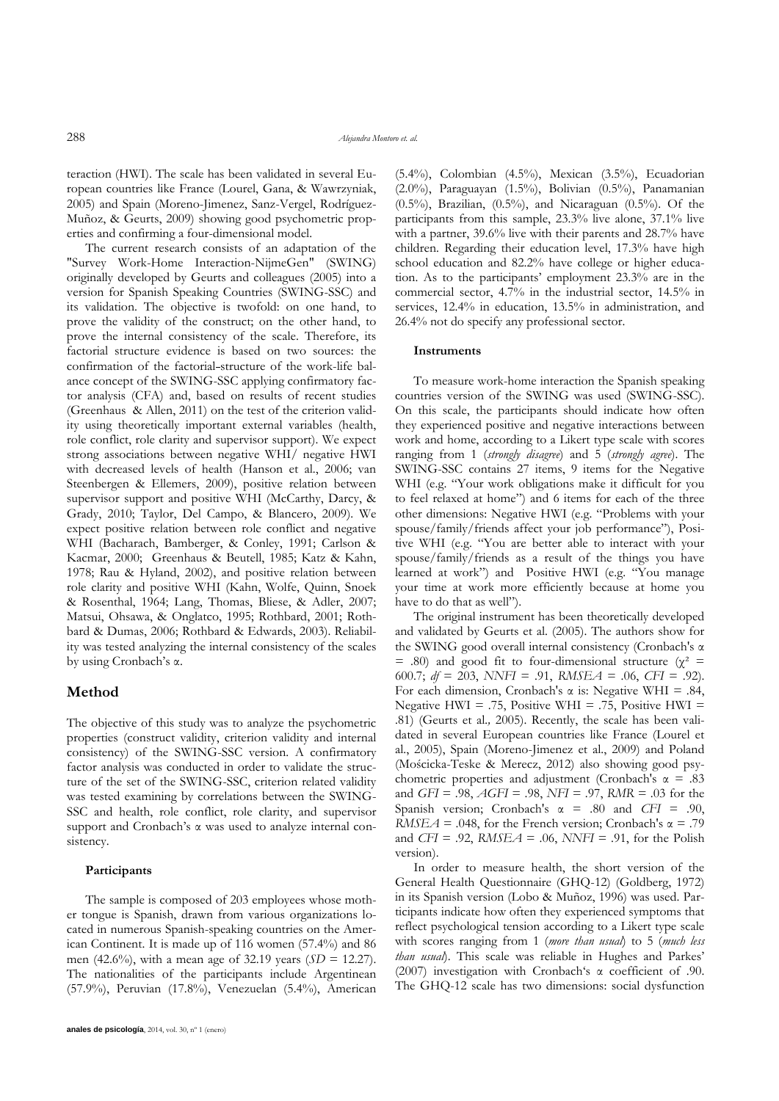teraction (HWI). The scale has been validated in several European countries like France (Lourel, Gana, & Wawrzyniak, 2005) and Spain (Moreno-Jimenez, Sanz-Vergel, Rodríguez-Muñoz, & Geurts, 2009) showing good psychometric properties and confirming a four-dimensional model.

The current research consists of an adaptation of the "Survey Work-Home Interaction-NijmeGen" (SWING) originally developed by Geurts and colleagues (2005) into a version for Spanish Speaking Countries (SWING-SSC) and its validation. The objective is twofold: on one hand, to prove the validity of the construct; on the other hand, to prove the internal consistency of the scale. Therefore, its factorial structure evidence is based on two sources: the confirmation of the factorial structure of the work-life balance concept of the SWING-SSC applying confirmatory factor analysis (CFA) and, based on results of recent studies (Greenhaus & Allen, 2011) on the test of the criterion validity using theoretically important external variables (health, role conflict, role clarity and supervisor support). We expect strong associations between negative WHI/ negative HWI with decreased levels of health (Hanson et al., 2006; van Steenbergen & Ellemers, 2009), positive relation between supervisor support and positive WHI (McCarthy, Darcy, & Grady, 2010; Taylor, Del Campo, & Blancero, 2009). We expect positive relation between role conflict and negative WHI (Bacharach, Bamberger, & Conley, 1991; Carlson & Kacmar, 2000; Greenhaus & Beutell, 1985; Katz & Kahn, 1978; Rau & Hyland, 2002), and positive relation between role clarity and positive WHI (Kahn, Wolfe, Quinn, Snoek & Rosenthal, 1964; Lang, Thomas, Bliese, & Adler, 2007; Matsui, Ohsawa, & Onglatco, 1995; Rothbard, 2001; Rothbard & Dumas, 2006; Rothbard & Edwards, 2003). Reliability was tested analyzing the internal consistency of the scales by using Cronbach"s α.

## **Method**

The objective of this study was to analyze the psychometric properties (construct validity, criterion validity and internal consistency) of the SWING-SSC version. A confirmatory factor analysis was conducted in order to validate the structure of the set of the SWING-SSC, criterion related validity was tested examining by correlations between the SWING-SSC and health, role conflict, role clarity, and supervisor support and Cronbach"s α was used to analyze internal consistency.

# **Participants**

The sample is composed of 203 employees whose mother tongue is Spanish, drawn from various organizations located in numerous Spanish-speaking countries on the American Continent. It is made up of 116 women (57.4%) and 86 men (42.6%), with a mean age of 32.19 years (*SD* = 12.27). The nationalities of the participants include Argentinean (57.9%), Peruvian (17.8%), Venezuelan (5.4%), American (5.4%), Colombian (4.5%), Mexican (3.5%), Ecuadorian (2.0%), Paraguayan (1.5%), Bolivian (0.5%), Panamanian (0.5%), Brazilian,  $(0.5\%)$ , and Nicaraguan  $(0.5\%)$ . Of the participants from this sample, 23.3% live alone, 37.1% live with a partner, 39.6% live with their parents and 28.7% have children. Regarding their education level, 17.3% have high school education and 82.2% have college or higher education. As to the participants' employment 23.3% are in the commercial sector, 4.7% in the industrial sector, 14.5% in services, 12.4% in education, 13.5% in administration, and 26.4% not do specify any professional sector.

#### **Instruments**

To measure work-home interaction the Spanish speaking countries version of the SWING was used (SWING-SSC). On this scale, the participants should indicate how often they experienced positive and negative interactions between work and home, according to a Likert type scale with scores ranging from 1 (*strongly disagree*) and 5 (*strongly agree*). The SWING-SSC contains 27 items, 9 items for the Negative WHI (e.g. "Your work obligations make it difficult for you to feel relaxed at home") and 6 items for each of the three other dimensions: Negative HWI (e.g. "Problems with your spouse/family/friends affect your job performance"), Positive WHI (e.g. "You are better able to interact with your spouse/family/friends as a result of the things you have learned at work") and Positive HWI (e.g. "You manage your time at work more efficiently because at home you have to do that as well").

The original instrument has been theoretically developed and validated by Geurts et al. (2005). The authors show for the SWING good overall internal consistency (Cronbach's α = .80) and good fit to four-dimensional structure ( $\gamma^2$  = 600.7; *df* = 203, *NNFI* = .91, *RMSEA* = .06, *CFI* = .92). For each dimension, Cronbach's  $\alpha$  is: Negative WHI = .84, Negative HWI = .75, Positive WHI = .75, Positive HWI = .81) (Geurts et al*.,* 2005). Recently, the scale has been validated in several European countries like France (Lourel et al., 2005), Spain (Moreno-Jimenez et al., 2009) and Poland (Mościcka-Teske & Merecz, 2012) also showing good psychometric properties and adjustment (Cronbach's  $\alpha = .83$ and *GFI* = .98, *AGFI* = .98, *NFI* = .97, *RMR* = .03 for the Spanish version; Cronbach's  $\alpha$  = .80 and *CFI* = .90, *RMSEA* = .048, for the French version; Cronbach's  $\alpha$  = .79 and *CFI* = .92, *RMSEA* = .06, *NNFI* = .91, for the Polish version).

In order to measure health, the short version of the General Health Questionnaire (GHQ-12) (Goldberg, 1972) in its Spanish version (Lobo & Muñoz, 1996) was used. Participants indicate how often they experienced symptoms that reflect psychological tension according to a Likert type scale with scores ranging from 1 (*more than usual*) to 5 (*much less than usual*). This scale was reliable in Hughes and Parkes' (2007) investigation with Cronbach"s α coefficient of .90. The GHQ-12 scale has two dimensions: social dysfunction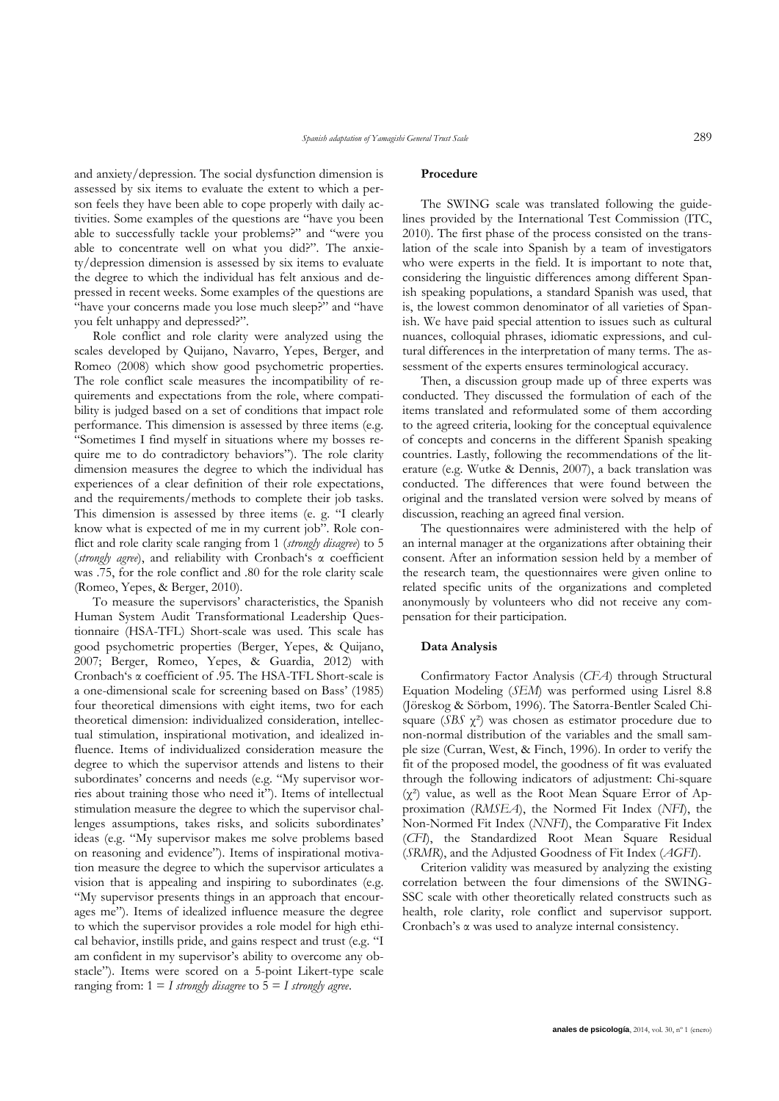and anxiety/depression. The social dysfunction dimension is assessed by six items to evaluate the extent to which a person feels they have been able to cope properly with daily activities. Some examples of the questions are "have you been able to successfully tackle your problems?" and "were you able to concentrate well on what you did?". The anxiety/depression dimension is assessed by six items to evaluate the degree to which the individual has felt anxious and depressed in recent weeks. Some examples of the questions are "have your concerns made you lose much sleep?" and "have you felt unhappy and depressed?".

Role conflict and role clarity were analyzed using the scales developed by Quijano, Navarro, Yepes, Berger, and Romeo (2008) which show good psychometric properties. The role conflict scale measures the incompatibility of requirements and expectations from the role, where compatibility is judged based on a set of conditions that impact role performance. This dimension is assessed by three items (e.g. "Sometimes I find myself in situations where my bosses require me to do contradictory behaviors"). The role clarity dimension measures the degree to which the individual has experiences of a clear definition of their role expectations, and the requirements/methods to complete their job tasks. This dimension is assessed by three items (e. g. "I clearly know what is expected of me in my current job". Role conflict and role clarity scale ranging from 1 (*strongly disagree*) to 5 (*strongly agree*), and reliability with Cronbach"s α coefficient was .75, for the role conflict and .80 for the role clarity scale (Romeo, Yepes, & Berger, 2010).

To measure the supervisors" characteristics, the Spanish Human System Audit Transformational Leadership Questionnaire (HSA-TFL) Short-scale was used. This scale has good psychometric properties (Berger, Yepes, & Quijano, 2007; Berger, Romeo, Yepes, & Guardia, 2012) with Cronbach"s α coefficient of .95. The HSA-TFL Short-scale is a one-dimensional scale for screening based on Bass" (1985) four theoretical dimensions with eight items, two for each theoretical dimension: individualized consideration, intellectual stimulation, inspirational motivation, and idealized influence. Items of individualized consideration measure the degree to which the supervisor attends and listens to their subordinates' concerns and needs (e.g. "My supervisor worries about training those who need it"). Items of intellectual stimulation measure the degree to which the supervisor challenges assumptions, takes risks, and solicits subordinates' ideas (e.g. "My supervisor makes me solve problems based on reasoning and evidence"). Items of inspirational motivation measure the degree to which the supervisor articulates a vision that is appealing and inspiring to subordinates (e.g. "My supervisor presents things in an approach that encourages me"). Items of idealized influence measure the degree to which the supervisor provides a role model for high ethical behavior, instills pride, and gains respect and trust (e.g. "I am confident in my supervisor's ability to overcome any obstacle"). Items were scored on a 5-point Likert-type scale ranging from: 1 = *I strongly disagree* to 5 = *I strongly agree*.

### **Procedure**

The SWING scale was translated following the guidelines provided by the International Test Commission (ITC, 2010). The first phase of the process consisted on the translation of the scale into Spanish by a team of investigators who were experts in the field. It is important to note that, considering the linguistic differences among different Spanish speaking populations, a standard Spanish was used, that is, the lowest common denominator of all varieties of Spanish. We have paid special attention to issues such as cultural nuances, colloquial phrases, idiomatic expressions, and cultural differences in the interpretation of many terms. The assessment of the experts ensures terminological accuracy.

Then, a discussion group made up of three experts was conducted. They discussed the formulation of each of the items translated and reformulated some of them according to the agreed criteria, looking for the conceptual equivalence of concepts and concerns in the different Spanish speaking countries. Lastly, following the recommendations of the literature (e.g. Wutke & Dennis, 2007), a back translation was conducted. The differences that were found between the original and the translated version were solved by means of discussion, reaching an agreed final version.

The questionnaires were administered with the help of an internal manager at the organizations after obtaining their consent. After an information session held by a member of the research team, the questionnaires were given online to related specific units of the organizations and completed anonymously by volunteers who did not receive any compensation for their participation.

#### **Data Analysis**

Confirmatory Factor Analysis (*CFA*) through Structural Equation Modeling (*SEM*) was performed using Lisrel 8.8 (Jöreskog & Sörbom, 1996). The Satorra-Bentler Scaled Chisquare (*SBS* χ²) was chosen as estimator procedure due to non-normal distribution of the variables and the small sample size (Curran, West, & Finch, 1996). In order to verify the fit of the proposed model, the goodness of fit was evaluated through the following indicators of adjustment: Chi-square  $(χ<sup>2</sup>)$  value, as well as the Root Mean Square Error of Approximation (*RMSEA*), the Normed Fit Index (*NFI*), the Non-Normed Fit Index (*NNFI*), the Comparative Fit Index (*CFI*), the Standardized Root Mean Square Residual (*SRMR*), and the Adjusted Goodness of Fit Index (*AGFI*).

Criterion validity was measured by analyzing the existing correlation between the four dimensions of the SWING-SSC scale with other theoretically related constructs such as health, role clarity, role conflict and supervisor support. Cronbach"s α was used to analyze internal consistency.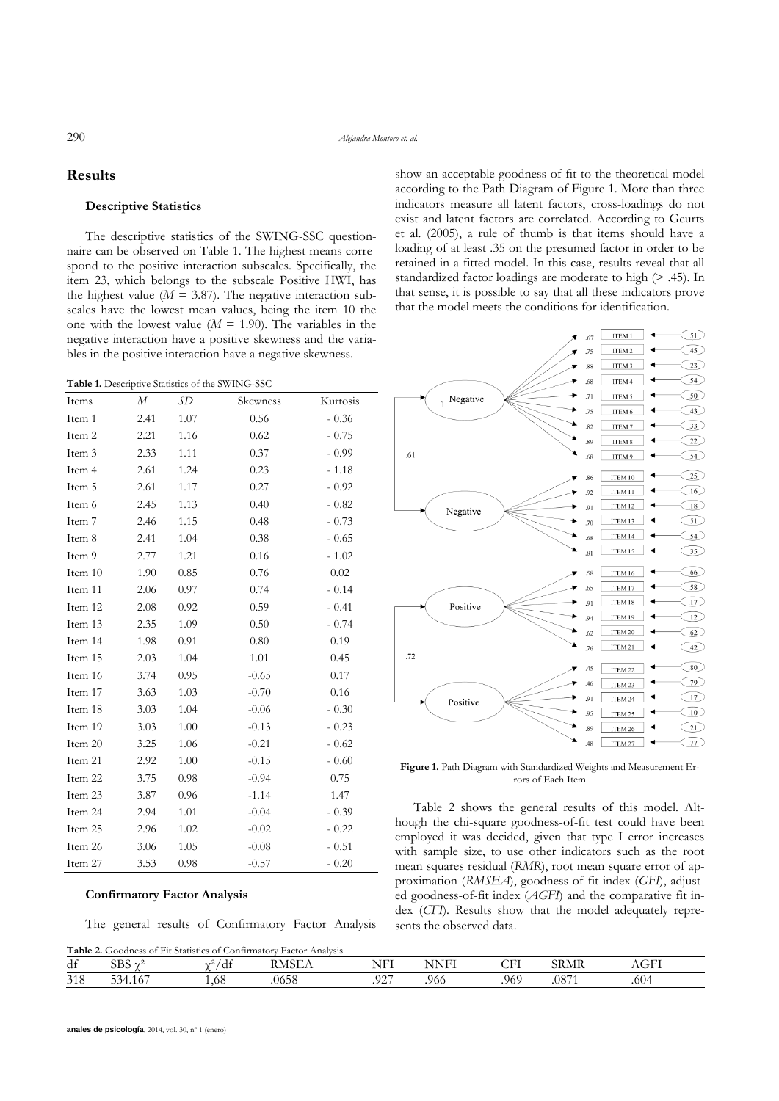## **Results**

# **Descriptive Statistics**

The descriptive statistics of the SWING-SSC questionnaire can be observed on Table 1. The highest means correspond to the positive interaction subscales. Specifically, the item 23, which belongs to the subscale Positive HWI, has the highest value ( $M = 3.87$ ). The negative interaction subscales have the lowest mean values, being the item 10 the one with the lowest value ( $M = 1.90$ ). The variables in the negative interaction have a positive skewness and the variables in the positive interaction have a negative skewness.

**Table 1.** Descriptive Statistics of the SWING-SSC

| Items   | М    | SD   | Skewness | Kurtosis    |
|---------|------|------|----------|-------------|
| Item 1  | 2.41 | 1.07 | 0.56     | $-0.36$     |
| Item 2  | 2.21 | 1.16 | 0.62     | $\sim 0.75$ |
| Item 3  | 2.33 | 1.11 | 0.37     | $-0.99$     |
| Item 4  | 2.61 | 1.24 | 0.23     | $-1.18$     |
| Item 5  | 2.61 | 1.17 | 0.27     | $-0.92$     |
| Item 6  | 2.45 | 1.13 | 0.40     | $-0.82$     |
| Item 7  | 2.46 | 1.15 | 0.48     | $-0.73$     |
| Item 8  | 2.41 | 1.04 | 0.38     | $-0.65$     |
| Item 9  | 2.77 | 1.21 | 0.16     | $-1.02$     |
| Item 10 | 1.90 | 0.85 | 0.76     | 0.02        |
| Item 11 | 2.06 | 0.97 | 0.74     | $-0.14$     |
| Item 12 | 2.08 | 0.92 | 0.59     | $-0.41$     |
| Item 13 | 2.35 | 1.09 | 0.50     | $-0.74$     |
| Item 14 | 1.98 | 0.91 | 0.80     | 0.19        |
| Item 15 | 2.03 | 1.04 | 1.01     | 0.45        |
| Item 16 | 3.74 | 0.95 | $-0.65$  | 0.17        |
| Item 17 | 3.63 | 1.03 | $-0.70$  | 0.16        |
| Item 18 | 3.03 | 1.04 | $-0.06$  | $-0.30$     |
| Item 19 | 3.03 | 1.00 | $-0.13$  | $-0.23$     |
| Item 20 | 3.25 | 1.06 | $-0.21$  | $-0.62$     |
| Item 21 | 2.92 | 1.00 | $-0.15$  | $-0.60$     |
| Item 22 | 3.75 | 0.98 | $-0.94$  | 0.75        |
| Item 23 | 3.87 | 0.96 | $-1.14$  | 1.47        |
| Item 24 | 2.94 | 1.01 | $-0.04$  | $-0.39$     |
| Item 25 | 2.96 | 1.02 | $-0.02$  | $-0.22$     |
| Item 26 | 3.06 | 1.05 | $-0.08$  | $-0.51$     |
| Item 27 | 3.53 | 0.98 | $-0.57$  | $-0.20$     |

### **Confirmatory Factor Analysis**

The general results of Confirmatory Factor Analysis

show an acceptable goodness of fit to the theoretical model according to the Path Diagram of Figure 1. More than three indicators measure all latent factors, cross-loadings do not exist and latent factors are correlated. According to Geurts et al. (2005), a rule of thumb is that items should have a loading of at least .35 on the presumed factor in order to be retained in a fitted model. In this case, results reveal that all standardized factor loadings are moderate to high (> .45). In that sense, it is possible to say that all these indicators prove that the model meets the conditions for identification.



Figure 1. Path Diagram with Standardized Weights and Measurement Errors of Each Item

Table 2 shows the general results of this model. Although the chi-square goodness-of-fit test could have been employed it was decided, given that type I error increases with sample size, to use other indicators such as the root mean squares residual (*RMR*), root mean square error of approximation (*RMSEA*), goodness-of-fit index (*GFI*), adjusted goodness-of-fit index (*AGFI*) and the comparative fit index (*CFI*). Results show that the model adequately represents the observed data.

| Table<br><sup>r</sup> Factor Analysis<br>Confirmatory<br>$\epsilon$ coodness $\epsilon$<br>. Fit Statistics<br>ΩŤ<br>≼ ∩† |                             |                   |       |                |        |           |      |      |
|---------------------------------------------------------------------------------------------------------------------------|-----------------------------|-------------------|-------|----------------|--------|-----------|------|------|
| $\sim$<br>dt                                                                                                              | ∩רי<br>$\sim$ $\sim$<br>ں س | $\sim$<br><br>'u⊾ |       | TTTT           | ↖<br>. | ^F<br>u i | SRMR |      |
| 318                                                                                                                       | $\Delta$                    | 1,68              | .0658 | . <i>. .</i> . | .966   | .969      | .087 | .604 |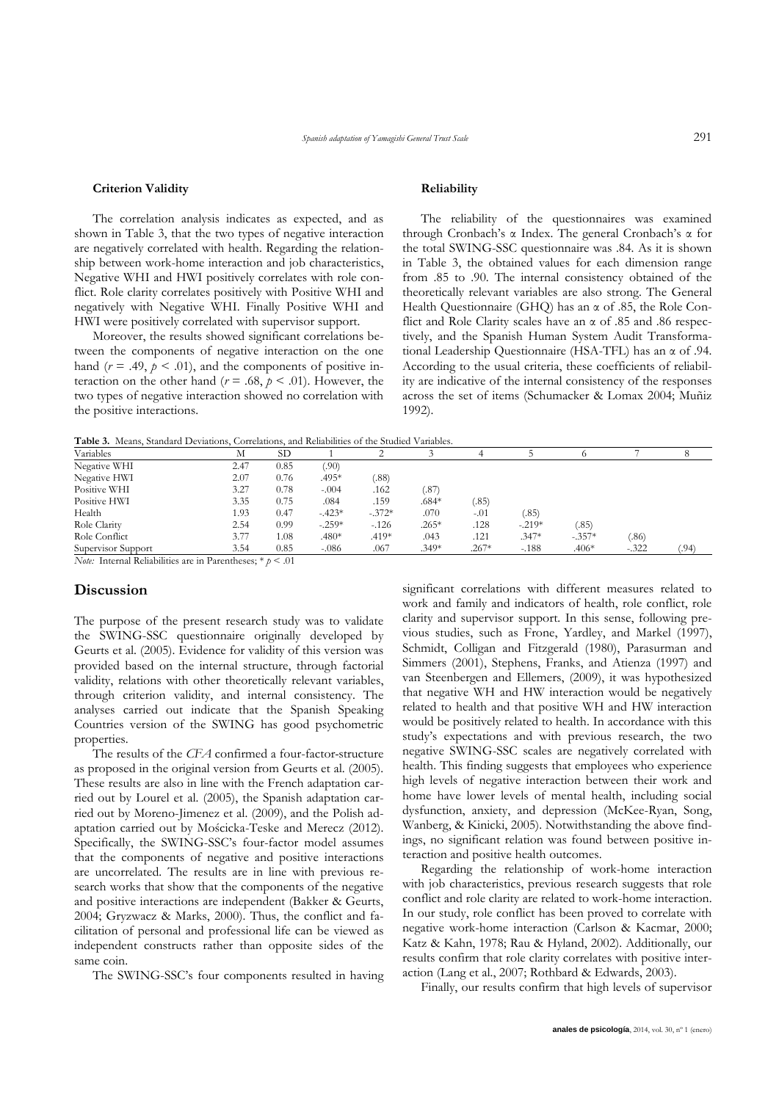#### **Criterion Validity**

### **Reliability**

The correlation analysis indicates as expected, and as shown in Table 3, that the two types of negative interaction are negatively correlated with health. Regarding the relationship between work-home interaction and job characteristics, Negative WHI and HWI positively correlates with role conflict. Role clarity correlates positively with Positive WHI and negatively with Negative WHI. Finally Positive WHI and HWI were positively correlated with supervisor support.

Moreover, the results showed significant correlations between the components of negative interaction on the one hand  $(r = .49, p < .01)$ , and the components of positive interaction on the other hand ( $r = .68$ ,  $p \le .01$ ). However, the two types of negative interaction showed no correlation with the positive interactions.

The reliability of the questionnaires was examined through Cronbach"s α Index. The general Cronbach"s α for the total SWING-SSC questionnaire was .84. As it is shown in Table 3, the obtained values for each dimension range from .85 to .90. The internal consistency obtained of the theoretically relevant variables are also strong. The General Health Questionnaire (GHQ) has an α of .85, the Role Conflict and Role Clarity scales have an α of .85 and .86 respectively, and the Spanish Human System Audit Transformational Leadership Questionnaire (HSA-TFL) has an α of .94. According to the usual criteria, these coefficients of reliability are indicative of the internal consistency of the responses across the set of items (Schumacker & Lomax 2004; Muñiz 1992).

**Table 3.** Means, Standard Deviations, Correlations, and Reliabilities of the Studied Variables.

| <b>Table 3.</b> Means, Standard Deviations, Correlations, and Reliabilities of the Studied Variables.                                                                                                                                                                                                                              |        |                   |          |          |         |         |          |          |         |       |
|------------------------------------------------------------------------------------------------------------------------------------------------------------------------------------------------------------------------------------------------------------------------------------------------------------------------------------|--------|-------------------|----------|----------|---------|---------|----------|----------|---------|-------|
| Variables                                                                                                                                                                                                                                                                                                                          | М      | <b>SD</b>         |          |          |         |         |          |          |         |       |
| Negative WHI                                                                                                                                                                                                                                                                                                                       | 2.47   | 0.85              | .90)     |          |         |         |          |          |         |       |
| Negative HWI                                                                                                                                                                                                                                                                                                                       | 2.07   | 0.76              | .495*    | (.88)    |         |         |          |          |         |       |
| Positive WHI                                                                                                                                                                                                                                                                                                                       | 3.27   | 0.78              | $-.004$  | .162     | (.87)   |         |          |          |         |       |
| Positive HWI                                                                                                                                                                                                                                                                                                                       | 3.35   | 0.75              | .084     | .159     | $.684*$ | (.85)   |          |          |         |       |
| Health                                                                                                                                                                                                                                                                                                                             | 1.93   | 0.47              | $-423*$  | $-.372*$ | .070    | $-.01$  | (.85)    |          |         |       |
| Role Clarity                                                                                                                                                                                                                                                                                                                       | 2.54   | 0.99              | $-.259*$ | $-126$   | $.265*$ | .128    | $-.219*$ | (.85)    |         |       |
| Role Conflict                                                                                                                                                                                                                                                                                                                      | 3.77   | 1.08              | $.480*$  | .419*    | .043    | .121    | $.347*$  | $-.357*$ | (.86)   |       |
| Supervisor Support                                                                                                                                                                                                                                                                                                                 | 3.54   | 0.85              | $-.086$  | .067     | $.349*$ | $.267*$ | $-.188$  | $.406*$  | $-.322$ | (.94) |
| $\mathbf{v}$ $\mathbf{v}$ $\mathbf{v}$ $\mathbf{v}$ $\mathbf{v}$ $\mathbf{v}$ $\mathbf{v}$ $\mathbf{v}$ $\mathbf{v}$ $\mathbf{v}$ $\mathbf{v}$ $\mathbf{v}$ $\mathbf{v}$ $\mathbf{v}$ $\mathbf{v}$ $\mathbf{v}$ $\mathbf{v}$ $\mathbf{v}$ $\mathbf{v}$ $\mathbf{v}$ $\mathbf{v}$ $\mathbf{v}$ $\mathbf{v}$ $\mathbf{v}$ $\mathbf{$ | $\sim$ | $\cdots$ $\cdots$ |          |          |         |         |          |          |         |       |

*Note:* Internal Reliabilities are in Parentheses; \* *p* < .01

### **Discussion**

The purpose of the present research study was to validate the SWING-SSC questionnaire originally developed by Geurts et al. (2005). Evidence for validity of this version was provided based on the internal structure, through factorial validity, relations with other theoretically relevant variables, through criterion validity, and internal consistency. The analyses carried out indicate that the Spanish Speaking Countries version of the SWING has good psychometric properties.

The results of the *CFA* confirmed a four-factor structure as proposed in the original version from Geurts et al. (2005). These results are also in line with the French adaptation carried out by Lourel et al. (2005), the Spanish adaptation carried out by Moreno-Jimenez et al. (2009), and the Polish adaptation carried out by Mościcka-Teske and Merecz (2012). Specifically, the SWING-SSC"s four-factor model assumes that the components of negative and positive interactions are uncorrelated. The results are in line with previous research works that show that the components of the negative and positive interactions are independent (Bakker & Geurts, 2004; Gryzwacz & Marks, 2000). Thus, the conflict and facilitation of personal and professional life can be viewed as independent constructs rather than opposite sides of the same coin.

The SWING-SSC's four components resulted in having

significant correlations with different measures related to work and family and indicators of health, role conflict, role clarity and supervisor support. In this sense, following previous studies, such as Frone, Yardley, and Markel (1997), Schmidt, Colligan and Fitzgerald (1980), Parasurman and Simmers (2001), Stephens, Franks, and Atienza (1997) and van Steenbergen and Ellemers, (2009), it was hypothesized that negative WH and HW interaction would be negatively related to health and that positive WH and HW interaction would be positively related to health. In accordance with this study"s expectations and with previous research, the two negative SWING-SSC scales are negatively correlated with health. This finding suggests that employees who experience high levels of negative interaction between their work and home have lower levels of mental health, including social dysfunction, anxiety, and depression (McKee-Ryan, Song, Wanberg, & Kinicki, 2005). Notwithstanding the above findings, no significant relation was found between positive interaction and positive health outcomes.

Regarding the relationship of work-home interaction with job characteristics, previous research suggests that role conflict and role clarity are related to work-home interaction. In our study, role conflict has been proved to correlate with negative work-home interaction (Carlson & Kacmar, 2000; Katz & Kahn, 1978; Rau & Hyland, 2002). Additionally, our results confirm that role clarity correlates with positive interaction (Lang et al., 2007; Rothbard & Edwards, 2003).

Finally, our results confirm that high levels of supervisor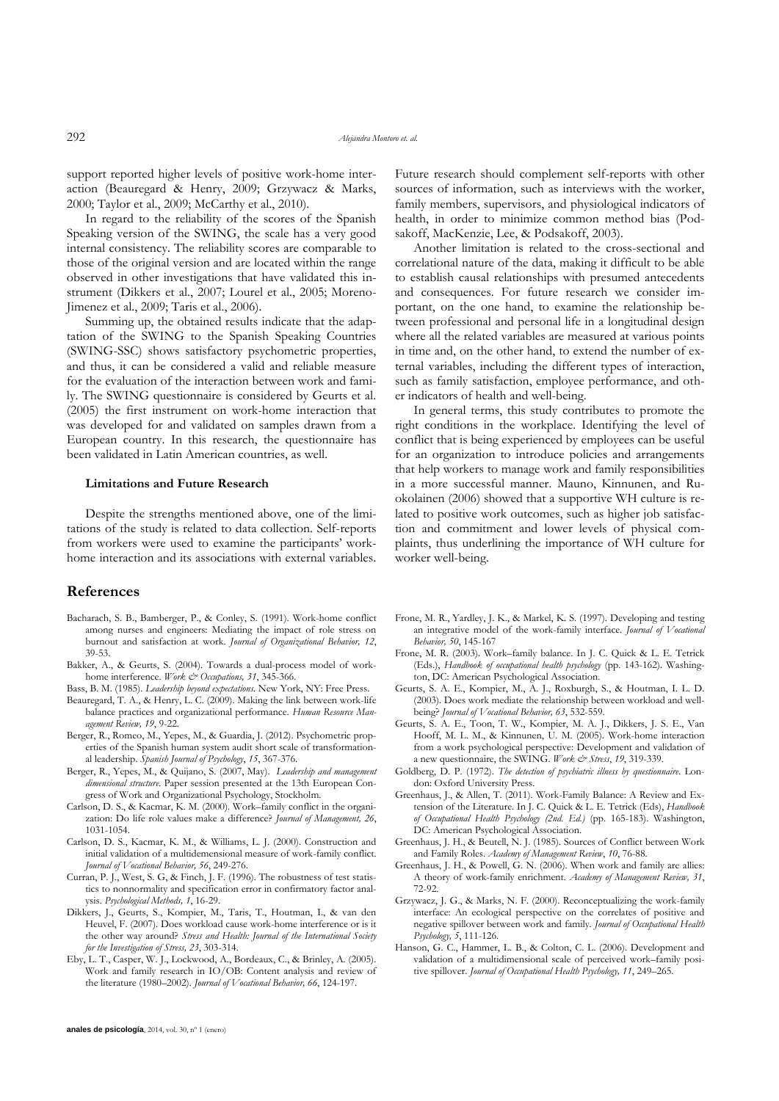support reported higher levels of positive work-home interaction (Beauregard & Henry, 2009; Grzywacz & Marks, 2000; Taylor et al., 2009; McCarthy et al., 2010).

In regard to the reliability of the scores of the Spanish Speaking version of the SWING, the scale has a very good internal consistency. The reliability scores are comparable to those of the original version and are located within the range observed in other investigations that have validated this instrument (Dikkers et al., 2007; Lourel et al., 2005; Moreno-Jimenez et al., 2009; Taris et al., 2006).

Summing up, the obtained results indicate that the adaptation of the SWING to the Spanish Speaking Countries (SWING-SSC) shows satisfactory psychometric properties, and thus, it can be considered a valid and reliable measure for the evaluation of the interaction between work and family. The SWING questionnaire is considered by Geurts et al. (2005) the first instrument on work-home interaction that was developed for and validated on samples drawn from a European country. In this research, the questionnaire has been validated in Latin American countries, as well.

### **Limitations and Future Research**

Despite the strengths mentioned above, one of the limitations of the study is related to data collection. Self-reports from workers were used to examine the participants' workhome interaction and its associations with external variables.

# **References**

- Bacharach, S. B., Bamberger, P., & Conley, S. (1991). Work-home conflict among nurses and engineers: Mediating the impact of role stress on burnout and satisfaction at work. *Journal of Organizational Behavior, 12*, 39-53.
- Bakker, A., & Geurts, S. (2004). Towards a dual-process model of workhome interference. *Work & Occupations*, 31, 345-366.
- Bass, B. M. (1985). *Leadership beyond expectations.* New York, NY: Free Press.
- Beauregard, T. A., & Henry, L. C. (2009). Making the link between work-life balance practices and organizational performance. *Human Resource Management Review, 19*, 9-22.
- Berger, R., Romeo, M., Yepes, M., & Guardia, J. (2012). Psychometric properties of the Spanish human system audit short scale of transformational leadership. *Spanish Journal of Psychology*, *15*, 367-376.
- Berger, R., Yepes, M., & Quijano, S. (2007, May). *Leadership and management dimensional structure*. Paper session presented at the 13th European Congress of Work and Organizational Psychology, Stockholm.
- Carlson, D. S., & Kacmar, K. M. (2000). Work–family conflict in the organization: Do life role values make a difference? *Journal of Management, 26*, 1031-1054.
- Carlson, D. S., Kacmar, K. M., & Williams, L. J. (2000). Construction and initial validation of a multidemensional measure of work-family conflict. *Journal of Vocational Behavior, 56*, 249-276.
- Curran, P. J., West, S. G, & Finch, J. F. (1996). The robustness of test statistics to nonnormality and specification error in confirmatory factor analysis. *Psychological Methods, 1*, 16-29.
- Dikkers, J., Geurts, S., Kompier, M., Taris, T., Houtman, I., & van den Heuvel, F. (2007). Does workload cause work-home interference or is it the other way around? *Stress and Health: Journal of the International Society for the Investigation of Stress, 23*, 303-314.
- Eby, L. T., Casper, W. J., Lockwood, A., Bordeaux, C., & Brinley, A. (2005). Work and family research in IO/OB: Content analysis and review of the literature (1980–2002). *Journal of Vocational Behavior, 66*, 124-197.

Future research should complement self-reports with other sources of information, such as interviews with the worker, family members, supervisors, and physiological indicators of health, in order to minimize common method bias (Podsakoff, MacKenzie, Lee, & Podsakoff, 2003).

Another limitation is related to the cross-sectional and correlational nature of the data, making it difficult to be able to establish causal relationships with presumed antecedents and consequences. For future research we consider important, on the one hand, to examine the relationship between professional and personal life in a longitudinal design where all the related variables are measured at various points in time and, on the other hand, to extend the number of external variables, including the different types of interaction, such as family satisfaction, employee performance, and other indicators of health and well-being.

In general terms, this study contributes to promote the right conditions in the workplace. Identifying the level of conflict that is being experienced by employees can be useful for an organization to introduce policies and arrangements that help workers to manage work and family responsibilities in a more successful manner. Mauno, Kinnunen, and Ruokolainen (2006) showed that a supportive WH culture is related to positive work outcomes, such as higher job satisfaction and commitment and lower levels of physical complaints, thus underlining the importance of WH culture for worker well-being.

- Frone, M. R., Yardley, J. K., & Markel, K. S. (1997). Developing and testing an integrative model of the work-family interface*. Journal of Vocational Behavior, 50*, 145-167
- Frone, M. R. (2003). Work–family balance. In J. C. Quick & L. E. Tetrick (Eds.), *Handbook of occupational health psychology* (pp. 143-162). Washington, DC: American Psychological Association.
- Geurts, S. A. E., Kompier, M., A. J., Roxburgh, S., & Houtman, I. L. D. (2003). Does work mediate the relationship between workload and wellbeing? *Journal of Vocational Behavior, 63*, 532-559.
- Geurts, S. A. E., Toon, T. W., Kompier, M. A. J., Dikkers, J. S. E., Van Hooff, M. L. M., & Kinnunen, U. M. (2005). Work-home interaction from a work psychological perspective: Development and validation of a new questionnaire, the SWING. *Work & Stress*, *19*, 319-339.
- Goldberg, D. P. (1972). *The detection of psychiatric illness by questionnaire*. London: Oxford University Press.
- Greenhaus, J., & Allen, T. (2011). Work-Family Balance: A Review and Extension of the Literature. In J. C. Quick & L. E. Tetrick (Eds), *Handbook of Occupational Health Psychology (2nd. Ed.)* (pp. 165-183). Washington, DC: American Psychological Association.
- Greenhaus, J. H., & Beutell, N. J. (1985). Sources of Conflict between Work and Family Roles. *Academy of Management Review*, *10*, 76-88.
- Greenhaus, J. H., & Powell, G. N. (2006). When work and family are allies: A theory of work-family enrichment. *Academy of Management Review, 31*, 72-92.
- Grzywacz, J. G., & Marks, N. F. (2000). Reconceptualizing the work-family interface: An ecological perspective on the correlates of positive and negative spillover between work and family. *Journal of Occupational Health Psychology, 5*, 111-126.
- Hanson, G. C., Hammer, L. B., & Colton, C. L. (2006). Development and validation of a multidimensional scale of perceived work–family positive spillover. *Journal of Occupational Health Psychology, 11*, 249–265.